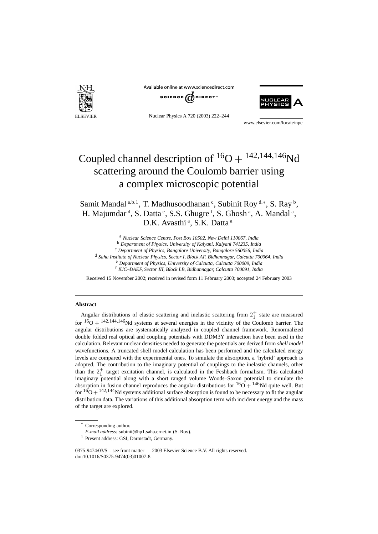

Available online at www.sciencedirect.com



Nuclear Physics A 720 (2003) 222–244



www.elsevier.com/locate/npe

# Coupled channel description of  ${}^{16}O + {}^{142,144,146}Nd$ scattering around the Coulomb barrier using a complex microscopic potential

Samit Mandal <sup>a,b,1</sup>, T. Madhusoodhanan<sup>c</sup>, Subinit Roy<sup>d,\*</sup>, S. Ray<sup>b</sup>, H. Majumdar<sup>d</sup>, S. Datta<sup>e</sup>, S.S. Ghugre<sup>f</sup>, S. Ghosh<sup>a</sup>, A. Mandal<sup>a</sup>, D.K. Avasthi<sup>a</sup>, S.K. Datta<sup>a</sup>

<sup>a</sup> *Nuclear Science Centre, Post Box 10502, New Delhi 110067, India*

<sup>b</sup> *Department of Physics, University of Kalyani, Kalyani 741235, India*

<sup>c</sup> *Department of Physics, Bangalore University, Bangalore 560056, India*

<sup>d</sup> *Saha Institute of Nuclear Physics, Sector I, Block AF, Bidhannagar, Calcutta 700064, India*

<sup>e</sup> *Department of Physics, University of Calcutta, Calcutta 700009, India*

<sup>f</sup> *IUC–DAEF, Sector III, Block LB, Bidhannagar, Calcutta 700091, India*

Received 15 November 2002; received in revised form 11 February 2003; accepted 24 February 2003

#### **Abstract**

Angular distributions of elastic scattering and inelastic scattering from  $2^+_1$  state are measured for  $16O + 142,144,146$ Nd systems at several energies in the vicinity of the Coulomb barrier. The angular distributions are systematically analyzed in coupled channel framework. Renormalized double folded real optical and coupling potentials with DDM3Y interaction have been used in the calculation. Relevant nuclear densities needed to generate the potentials are derived from *shell model* wavefunctions. A truncated shell model calculation has been performed and the calculated energy levels are compared with the experimental ones. To simulate the absorption, a 'hybrid' approach is adopted. The contribution to the imaginary potential of couplings to the inelastic channels, other than the  $2^+_1$  target excitation channel, is calculated in the Feshbach formalism. This calculated imaginary potential along with a short ranged volume Woods–Saxon potential to simulate the absorption in fusion channel reproduces the angular distributions for  ${}^{16}O + {}^{146}Nd$  quite well. But for  ${}^{16}O + {}^{142,144}Nd$  systems additional surface absorption is found to be necessary to fit the angular distribution data. The variations of this additional absorption term with incident energy and the mass of the target are explored.

Corresponding author.

*E-mail address:* subinit@hp1.saha.ernet.in (S. Roy).

<sup>1</sup> Present address: GSI, Darmstadt, Germany.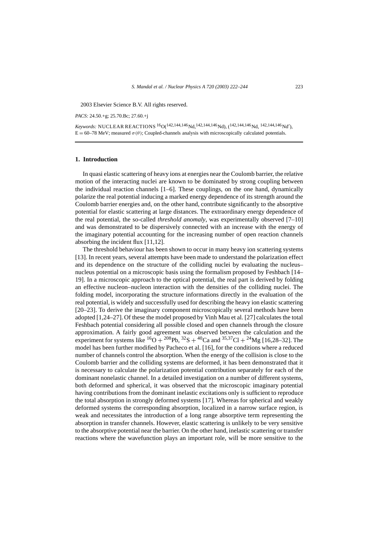2003 Elsevier Science B.V. All rights reserved.

*PACS:* 24.50.+g; 25.70.Bc; 27.60.+j

Keywords: NUCLEAR REACTIONS <sup>16</sup>O(<sup>142,144,146</sup>Nd,<sup>142,144,146</sup>Nd), (<sup>142,144,146</sup>Nd, <sup>142,144,146</sup>Nd'),  $E = 60-78$  MeV; measured  $\sigma(\theta)$ ; Coupled-channels analysis with microscopically calculated potentials.

#### **1. Introduction**

In quasi elastic scattering of heavy ions at energies near the Coulomb barrier, the relative motion of the interacting nuclei are known to be dominated by strong coupling between the individual reaction channels [1–6]. These couplings, on the one hand, dynamically polarize the real potential inducing a marked energy dependence of its strength around the Coulomb barrier energies and, on the other hand, contribute significantly to the absorptive potential for elastic scattering at large distances. The extraordinary energy dependence of the real potential, the so-called *threshold anomaly*, was experimentally observed [7–10] and was demonstrated to be dispersively connected with an increase with the energy of the imaginary potential accounting for the increasing number of open reaction channels absorbing the incident flux [11,12].

The threshold behaviour has been shown to occur in many heavy ion scattering systems [13]. In recent years, several attempts have been made to understand the polarization effect and its dependence on the structure of the colliding nuclei by evaluating the nucleus– nucleus potential on a microscopic basis using the formalism proposed by Feshbach [14– 19]. In a microscopic approach to the optical potential, the real part is derived by folding an effective nucleon–nucleon interaction with the densities of the colliding nuclei. The folding model, incorporating the structure informations directly in the evaluation of the real potential, is widely and successfully used for describing the heavy ion elastic scattering [20–23]. To derive the imaginary component microscopically several methods have been adopted [1,24–27]. Of these the model proposed by Vinh Mau et al. [27] calculates the total Feshbach potential considering all possible closed and open channels through the closure approximation. A fairly good agreement was observed between the calculation and the experiment for systems like  ${}^{16}O + {}^{208}Pb$ ,  ${}^{32}S + {}^{40}Ca$  and  ${}^{35,37}Cl + {}^{24}Mg$  [16,28–32]. The model has been further modified by Pacheco et al. [16], for the conditions where a reduced number of channels control the absorption. When the energy of the collision is close to the Coulomb barrier and the colliding systems are deformed, it has been demonstrated that it is necessary to calculate the polarization potential contribution separately for each of the dominant nonelastic channel. In a detailed investigation on a number of different systems, both deformed and spherical, it was observed that the microscopic imaginary potential having contributions from the dominant inelastic excitations only is sufficient to reproduce the total absorption in strongly deformed systems [17]. Whereas for spherical and weakly deformed systems the corresponding absorption, localized in a narrow surface region, is weak and necessitates the introduction of a long range absorptive term representing the absorption in transfer channels. However, elastic scattering is unlikely to be very sensitive to the absorptive potential near the barrier. On the other hand, inelastic scattering or transfer reactions where the wavefunction plays an important role, will be more sensitive to the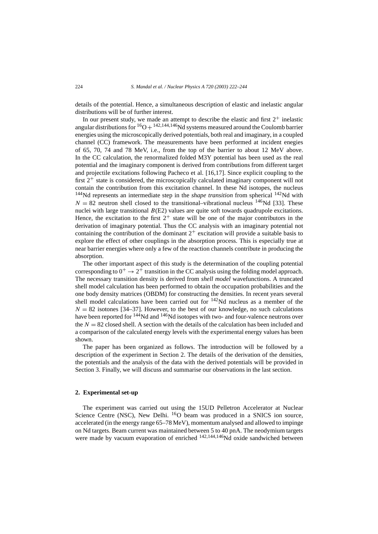details of the potential. Hence, a simultaneous description of elastic and inelastic angular distributions will be of further interest.

In our present study, we made an attempt to describe the elastic and first  $2^+$  inelastic angular distributions for  ${}^{16}O + {}^{142,144,146}Nd$  systems measured around the Coulomb barrier energies using the microscopically derived potentials, both real and imaginary, in a coupled channel (CC) framework. The measurements have been performed at incident enegies of 65, 70, 74 and 78 MeV, i.e., from the top of the barrier to about 12 MeV above. In the CC calculation, the renormalized folded M3Y potential has been used as the real potential and the imaginary component is derived from contributions from different target and projectile excitations following Pacheco et al. [16,17]. Since explicit coupling to the first  $2^+$  state is considered, the microscopically calculated imaginary component will not contain the contribution from this excitation channel. In these Nd isotopes, the nucleus 144Nd represents an intermediate step in the *shape transition* from spherical 142Nd with  $N = 82$  neutron shell closed to the transitional–vibrational nucleus <sup>146</sup>Nd [33]. These nuclei with large transitional *B*(E2) values are quite soft towards quadrupole excitations. Hence, the excitation to the first  $2^+$  state will be one of the major contributors in the derivation of imaginary potential. Thus the CC analysis with an imaginary potential not containing the contribution of the dominant  $2^+$  excitation will provide a suitable basis to explore the effect of other couplings in the absorption process. This is especially true at near barrier energies where only a few of the reaction channels contribute in producing the absorption.

The other important aspect of this study is the determination of the coupling potential corresponding to  $0^+ \rightarrow 2^+$  transition in the CC analysis using the folding model approach. The necessary transition density is derived from *shell model* wavefunctions. A truncated shell model calculation has been performed to obtain the occupation probabilities and the one body density matrices (OBDM) for constructing the densities. In recent years several shell model calculations have been carried out for 142Nd nucleus as a member of the  $N = 82$  isotones [34–37]. However, to the best of our knowledge, no such calculations have been reported for <sup>144</sup>Nd and <sup>146</sup>Nd isotopes with two- and four-valence neutrons over the  $N = 82$  closed shell. A section with the details of the calculation has been included and a comparison of the calculated energy levels with the experimental energy values has been shown.

The paper has been organized as follows. The introduction will be followed by a description of the experiment in Section 2. The details of the derivation of the densities, the potentials and the analysis of the data with the derived potentials will be provided in Section 3. Finally, we will discuss and summarise our observations in the last section.

## **2. Experimental set-up**

The experiment was carried out using the 15UD Pelletron Accelerator at Nuclear Science Centre (NSC), New Delhi. <sup>16</sup>O beam was produced in a SNICS ion source, accelerated (in the energy range 65–78 MeV), momentum analysed and allowed to impinge on Nd targets. Beam current was maintained between 5 to 40 pnA. The neodymium targets were made by vacuum evaporation of enriched <sup>142,144,146</sup>Nd oxide sandwiched between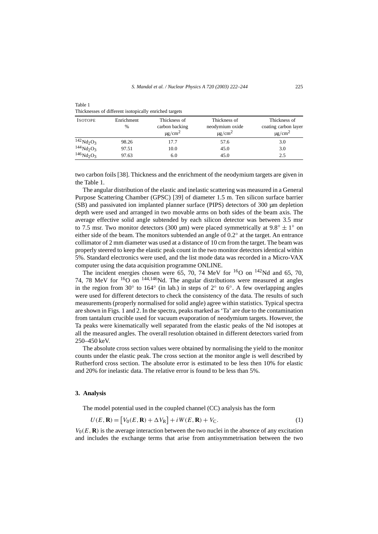| <b>ISOTOPE</b>                       | Enrichment<br>$\%$ | Thickness of<br>carbon backing<br>$\mu$ g/cm <sup>2</sup> | Thickness of<br>neodymium oxide<br>$\mu$ g/cm <sup>2</sup> | Thickness of<br>coating carbon layer<br>$\mu$ g/cm <sup>2</sup> |
|--------------------------------------|--------------------|-----------------------------------------------------------|------------------------------------------------------------|-----------------------------------------------------------------|
| $142$ Nd <sub>2</sub> O <sub>3</sub> | 98.26              | 17.7                                                      | 57.6                                                       | 3.0                                                             |
| $144 \text{Nd}_2\text{O}_3$          | 97.51              | 10.0                                                      | 45.0                                                       | 3.0                                                             |
| $146$ Nd <sub>2</sub> O <sub>3</sub> | 97.63              | 6.0                                                       | 45.0                                                       | 2.5                                                             |

Table 1 Thicknesses of different isotopically enriched targets

two carbon foils [38]. Thickness and the enrichment of the neodymium targets are given in the Table 1.

The angular distribution of the elastic and inelastic scattering was measured in a General Purpose Scattering Chamber (GPSC) [39] of diameter 1.5 m. Ten silicon surface barrier (SB) and passivated ion implanted planner surface (PIPS) detectors of 300 µm depletion depth were used and arranged in two movable arms on both sides of the beam axis. The average effective solid angle subtended by each silicon detector was between 3.5 msr to 7.5 msr. Two monitor detectors (300 µm) were placed symmetrically at  $9.8° \pm 1°$  on either side of the beam. The monitors subtended an angle of 0.2◦ at the target. An entrance collimator of 2 mm diameter was used at a distance of 10 cm from the target. The beam was properly steered to keep the elastic peak count in the two monitor detectors identical within 5%. Standard electronics were used, and the list mode data was recorded in a Micro-VAX computer using the data acquisition programme ONLINE.

The incident energies chosen were 65, 70, 74 MeV for  ${}^{16}$ O on  ${}^{142}$ Nd and 65, 70, 74, 78 MeV for  ${}^{16}O$  on  ${}^{144,146}$ Nd. The angular distributions were measured at angles in the region from 30 $\degree$  to 164 $\degree$  (in lab.) in steps of 2 $\degree$  to 6 $\degree$ . A few overlapping angles were used for different detectors to check the consistency of the data. The results of such measurements (properly normalised for solid angle) agree within statistics. Typical spectra are shown in Figs. 1 and 2. In the spectra, peaks marked as 'Ta' are due to the contamination from tantalum crucible used for vacuum evaporation of neodymium targets. However, the Ta peaks were kinematically well separated from the elastic peaks of the Nd isotopes at all the measured angles. The overall resolution obtained in different detectors varied from 250–450 keV.

The absolute cross section values were obtained by normalising the yield to the monitor counts under the elastic peak. The cross section at the monitor angle is well described by Rutherford cross section. The absolute error is estimated to be less then 10% for elastic and 20% for inelastic data. The relative error is found to be less than 5%.

## **3. Analysis**

The model potential used in the coupled channel (CC) analysis has the form

$$
U(E, \mathbf{R}) = [V_0(E, \mathbf{R}) + \Delta V_{\mathbf{R}}] + i W(E, \mathbf{R}) + V_{\mathbf{C}}.
$$
\n(1)

 $V_0(E, \mathbf{R})$  is the average interaction between the two nuclei in the absence of any excitation and includes the exchange terms that arise from antisymmetrisation between the two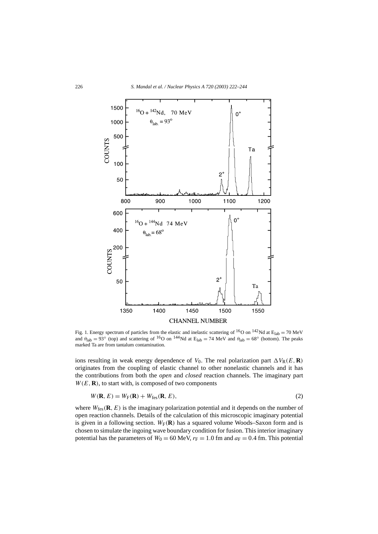

Fig. 1. Energy spectrum of particles from the elastic and inelastic scattering of <sup>16</sup>O on <sup>142</sup>Nd at  $E_{lab} = 70$  MeV and  $\theta_{\text{lab}} = 93^\circ$  (top) and scattering of <sup>16</sup>O on <sup>144</sup>Nd at E<sub>lab</sub> = 74 MeV and  $\theta_{\text{lab}} = 68^\circ$  (bottom). The peaks marked Ta are from tantalum contamination.

ions resulting in weak energy dependence of  $V_0$ . The real polarization part  $\Delta V_R(E, \mathbf{R})$ originates from the coupling of elastic channel to other nonelastic channels and it has the contributions from both the *open* and *closed* reaction channels. The imaginary part  $W(E, \mathbf{R})$ , to start with, is composed of two components

$$
W(\mathbf{R}, E) = W_{\mathrm{F}}(\mathbf{R}) + W_{\mathrm{fes}}(\mathbf{R}, E),
$$
\n(2)

where  $W_{\text{fes}}(\mathbf{R}, E)$  is the imaginary polarization potential and it depends on the number of open reaction channels. Details of the calculation of this microscopic imaginary potential is given in a following section.  $W_F(\mathbf{R})$  has a squared volume Woods–Saxon form and is chosen to simulate the ingoing wave boundary condition for fusion. This interior imaginary potential has the parameters of  $W_0 = 60$  MeV,  $r_F = 1.0$  fm and  $a_F = 0.4$  fm. This potential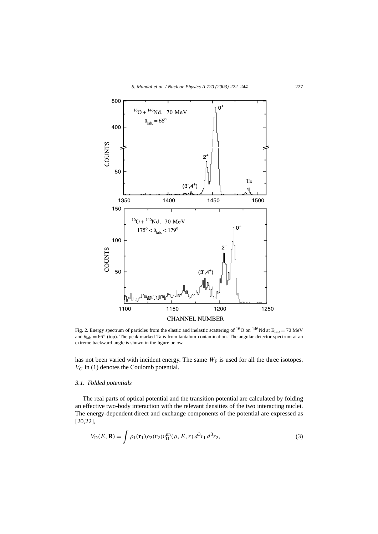

Fig. 2. Energy spectrum of particles from the elastic and inelastic scattering of <sup>16</sup>O on <sup>146</sup>Nd at  $E_{lab} = 70$  MeV and  $\theta_{\text{lab}} = 66°$  (top). The peak marked Ta is from tantalum contamination. The angular detector spectrum at an extreme backward angle is shown in the figure below.

has not been varied with incident energy. The same  $W_F$  is used for all the three isotopes.  $V_C$  in (1) denotes the Coulomb potential.

### *3.1. Folded potentials*

The real parts of optical potential and the transition potential are calculated by folding an effective two-body interaction with the relevant densities of the two interacting nuclei. The energy-dependent direct and exchange components of the potential are expressed as [20,22],

$$
V_{\mathcal{D}}(E, \mathbf{R}) = \int \rho_1(\mathbf{r}_1) \rho_2(\mathbf{r}_2) v_{\mathcal{D}}^{\mathbf{n}\mathbf{n}}(\rho, E, r) d^3 r_1 d^3 r_2,
$$
\n(3)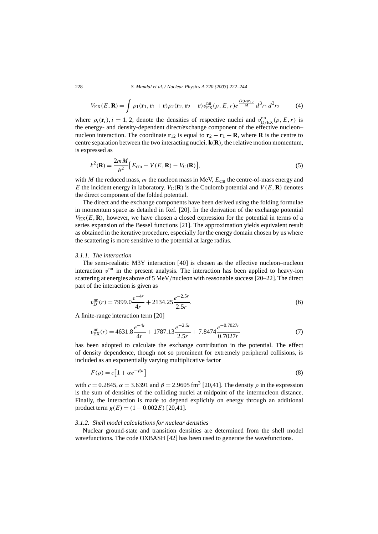228 *S. Mandal et al. / Nuclear Physics A 720 (2003) 222–244*

$$
V_{\text{EX}}(E,\mathbf{R}) = \int \rho_1(\mathbf{r}_1,\mathbf{r}_1+\mathbf{r})\rho_2(\mathbf{r}_2,\mathbf{r}_2-\mathbf{r})v_{\text{EX}}^{\text{nn}}(\rho,E,r)e^{\frac{i\mathbf{k}(\mathbf{R})\mathbf{r}_1}{M}}d^3r_1 d^3r_2 \tag{4}
$$

where  $\rho_i(\mathbf{r}_i)$ ,  $i = 1, 2$ , denote the densities of respective nuclei and  $v_{D/EX}^{nn}(\rho, E, r)$  is the energy- and density-dependent direct/exchange component of the effective nucleon– nucleon interaction. The coordinate  $\mathbf{r}_{12}$  is equal to  $\mathbf{r}_2 - \mathbf{r}_1 + \mathbf{R}$ , where **R** is the centre to centre separation between the two interacting nuclei. **k***(***R***)*, the relative motion momentum, is expressed as

$$
k^{2}(\mathbf{R}) = \frac{2mM}{\hbar^{2}} \left[ E_{\text{cm}} - V(E, \mathbf{R}) - V_{\text{C}}(\mathbf{R}) \right],
$$
\n(5)

with *M* the reduced mass, *m* the nucleon mass in MeV, *E*cm the centre-of-mass energy and *E* the incident energy in laboratory. *V*<sub>C</sub>(**R**) is the Coulomb potential and *V*(*E*, **R**) denotes the direct component of the folded potential.

The direct and the exchange components have been derived using the folding formulae in momentum space as detailed in Ref. [20]. In the derivation of the exchange potential  $V_{\text{EX}}(E, \mathbf{R})$ , however, we have chosen a closed expression for the potential in terms of a series expansion of the Bessel functions [21]. The approximation yields equivalent result as obtained in the iterative procedure, especially for the energy domain chosen by us where the scattering is more sensitive to the potential at large radius.

## *3.1.1. The interaction*

The semi-realistic M3Y interaction [40] is chosen as the effective nucleon–nucleon interaction  $v<sup>nn</sup>$  in the present analysis. The interaction has been applied to heavy-ion scattering at energies above of 5 MeV*/*nucleon with reasonable success [20–22]. The direct part of the interaction is given as

$$
v_D^{\text{nn}}(r) = 7999.0 \frac{e^{-4r}}{4r} + 2134.25 \frac{e^{-2.5r}}{2.5r}.
$$
\n
$$
(6)
$$

A finite-range interaction term [20]

$$
v_{\text{EX}}^{\text{nn}}(r) = 4631.8 \frac{e^{-4r}}{4r} + 1787.13 \frac{e^{-2.5r}}{2.5r} + 7.8474 \frac{e^{-0.7027r}}{0.7027r} \tag{7}
$$

has been adopted to calculate the exchange contribution in the potential. The effect of density dependence, though not so prominent for extremely peripheral collisions, is included as an exponentially varying multiplicative factor

$$
F(\rho) = c \left[ 1 + \alpha e^{-\beta \rho} \right] \tag{8}
$$

with  $c = 0.2845$ ,  $\alpha = 3.6391$  and  $\beta = 2.9605$  fm<sup>3</sup> [20,41]. The density  $\rho$  in the expression is the sum of densities of the colliding nuclei at midpoint of the internucleon distance. Finally, the interaction is made to depend explicitly on energy through an additional product term  $g(E) = (1 - 0.002E)$  [20,41].

## *3.1.2. Shell model calculations for nuclear densities*

Nuclear ground-state and transition densities are determined from the shell model wavefunctions. The code OXBASH [42] has been used to generate the wavefunctions.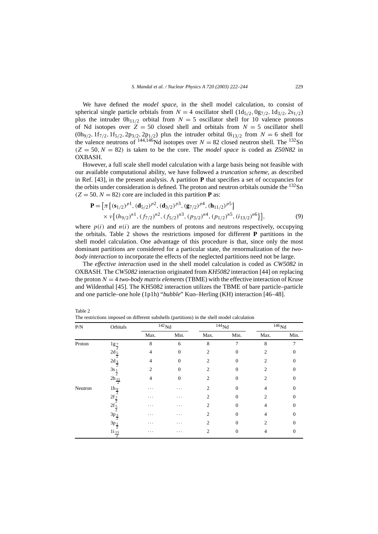We have defined the *model space*, in the shell model calculation, to consist of spherical single particle orbitals from  $N = 4$  oscillator shell  $(1d_{5/2}, 0g_{7/2}, 1d_{3/2}, 2s_{1/2})$ plus the intruder  $0h_{11/2}$  orbital from  $N = 5$  oscillator shell for 10 valence protons of Nd isotopes over  $Z = 50$  closed shell and orbitals from  $N = 5$  oscillator shell  $(0h_{9/2}, 1f_{7/2}, 1f_{5/2}, 2p_{3/2}, 2p_{1/2})$  plus the intruder orbital  $0i_{13/2}$  from  $N = 6$  shell for the valence neutrons of <sup>144,146</sup>Nd isotopes over  $N = 82$  closed neutron shell. The <sup>132</sup>Sn  $(Z = 50, N = 82)$  is taken to be the core. The *model space* is coded as  $Z50N82$  in OXBASH.

However, a full scale shell model calculation with a large basis being not feasible with our available computational ability, we have followed a *truncation scheme*, as described in Ref. [43], in the present analysis. A partition **P** that specifies a set of occupancies for the orbits under consideration is defined. The proton and neutron orbitals outside the  $^{132}Sn$  $(Z = 50, N = 82)$  core are included in this partition **P** as:

$$
\mathbf{P} = \left[ \pi \left\{ (\mathbf{s}_{1/2})^{p_1}, (\mathbf{d}_{5/2})^{p_2}, (\mathbf{d}_{3/2})^{p_3}, (\mathbf{g}_{7/2})^{p_4}, (\mathbf{h}_{11/2})^{p_5} \right\} \times v \left\{ (h_{9/2})^{n_1}, (f_{7/2})^{n_2}, (f_{5/2})^{n_3}, (p_{3/2})^{n_4}, (p_{1/2})^{n_5}, (i_{13/2})^{n_6} \right\} \right],
$$
(9)

where  $p(i)$  and  $n(i)$  are the numbers of protons and neutrons respectively, occupying the orbitals. Table 2 shows the restrictions imposed for different **P** partitions in the shell model calculation. One advantage of this procedure is that, since only the most dominant partitions are considered for a particular state, the renormalization of the *twobody interaction* to incorporate the effects of the neglected partitions need not be large.

The *effective interaction* used in the shell model calculation is coded as *CW5082* in OXBASH. The *CW5082* interaction originated from *KH5082* interaction [44] on replacing the proton  $N = 4$  *two-body matrix elements* (TBME) with the effective interaction of Kruse and Wildenthal [45]. The KH5082 interaction utilizes the TBME of bare particle–particle and one particle–one hole (1p1h) "*bubble*" Kuo–Herling (KH) interaction [46–48].

Table 2

The restrictions imposed on different subshells (partitions) in the shell model calculation

| P/N     | Orbitals            | $^{142}{\rm Nd}$ |          |                | $144$ Nd | $^{146}\mathrm{Nd}$ |      |
|---------|---------------------|------------------|----------|----------------|----------|---------------------|------|
|         |                     | Max.             | Min.     | Max.           | Min.     | Max.                | Min. |
| Proton  | $\frac{1g}{2}$      | 8                | 6        | 8              | 7        | 8                   | 7    |
|         | $2d_{\frac{5}{2}}$  | 4                | 0        | $\overline{c}$ | $\Omega$ | 2                   | 0    |
|         | $2d_{\frac{3}{2}}$  | 4                | 0        | $\mathfrak{D}$ | $\Omega$ | 2                   | 0    |
|         | $3s_1$ <sup>2</sup> | $\overline{c}$   | 0        | $\overline{c}$ | $\Omega$ | 2                   |      |
|         | $2h_{\frac{11}{2}}$ | 4                | 0        | $\mathfrak{D}$ | $\Omega$ | 2                   |      |
| Neutron | $\frac{1h_9}{2}$    | $\cdots$         | .        | $\overline{c}$ | $\Omega$ | 4                   |      |
|         | $2f\frac{7}{2}$     | $\cdots$         | .        | $\mathfrak{D}$ | $\Omega$ | っ                   |      |
|         | $2f\frac{5}{2}$     | $\cdots$         | $\cdots$ | $\overline{c}$ | $\Omega$ | 4                   | 0    |
|         | $3p_{\frac{3}{2}}$  | $\cdots$         | .        | $\overline{c}$ | $\Omega$ | 4                   | 0    |
|         | $3p_1$              | $\cdots$         | .        | 2              | $\Omega$ | 2                   |      |
|         | $1i_{\frac{13}{2}}$ | $\cdots$         | $\cdots$ | 2              | 0        | 4                   | 0    |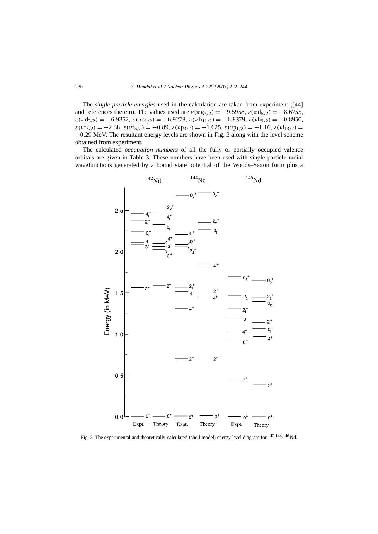The *single particle energies* used in the calculation are taken from experiment ([44] and references therein). The values used are  $\varepsilon(\pi g_{7/2}) = -9.5958$ ,  $\varepsilon(\pi d_{5/2}) = -8.6755$ ,  $\varepsilon(\pi d_{3/2}) = -6.9352$ ,  $\varepsilon(\pi s_{1/2}) = -6.9278$ ,  $\varepsilon(\pi h_{11/2}) = -6.8379$ ,  $\varepsilon(vh_{9/2}) = -0.8950$ ,  $\varepsilon$ (*v*f<sub>7</sub>/2</sub>) = −2.38,  $\varepsilon$ (*v*f<sub>5</sub>/2</sub>) = −0.89,  $\varepsilon$ (*v*p<sub>3</sub>/2</sub>) = −1.625,  $\varepsilon$ (*v*p<sub>1</sub>/2</sub>) = −1.16,  $\varepsilon$ (*vi*<sub>13</sub>/2) = −0*.*29 MeV. The resultant energy levels are shown in Fig. 3 along with the level scheme obtained from experiment.

The calculated *occupation numbers* of all the fully or partially occupied valence orbitals are given in Table 3. These numbers have been used with single particle radial wavefunctions generated by a bound state potential of the Woods–Saxon form plus a



Fig. 3. The experimental and theoretically calculated (shell model) energy level diagram for <sup>142,144,146</sup>Nd.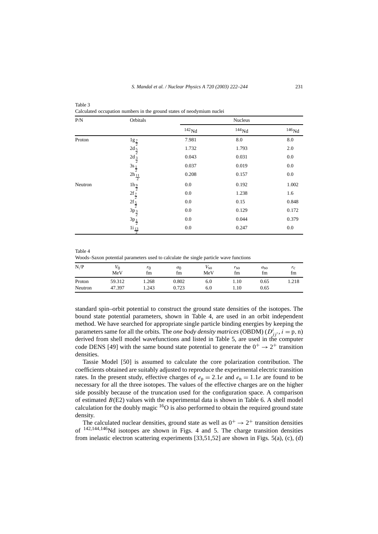| P/N     | Orbitals            |                  | <b>Nucleus</b> |                     |
|---------|---------------------|------------------|----------------|---------------------|
|         |                     | $^{142}{\rm Nd}$ | $144$ Nd       | $^{146}\mathrm{Nd}$ |
| Proton  | $1g\frac{7}{2}$     | 7.981            | 8.0            | 8.0                 |
|         | $2d_{\frac{5}{2}}$  | 1.732            | 1.793          | 2.0                 |
|         | $2d_{\frac{3}{2}}$  | 0.043            | 0.031          | 0.0                 |
|         | $3s_1$ <sub>2</sub> | 0.037            | 0.019          | 0.0                 |
|         | $2h_{\frac{11}{2}}$ | 0.208            | 0.157          | 0.0                 |
| Neutron | $\frac{1h_9}{2}$    | 0.0              | 0.192          | 1.002               |
|         | $2f\frac{7}{2}$     | 0.0              | 1.238          | 1.6                 |
|         | $2f_{\frac{5}{2}}$  | 0.0              | 0.15           | 0.848               |
|         | $3p\frac{3}{2}$     | 0.0              | 0.129          | 0.172               |
|         | $3p_1$              | 0.0              | 0.044          | 0.379               |
|         | $\frac{11}{2}$      | 0.0              | 0.247          | 0.0                 |

Table 3 Calculated occupation numbers in the ground states of neodymium nuclei

Table 4

Woods–Saxon potential parameters used to calculate the single particle wave functions

| N/P     | V0<br>MeV | $r_0$<br>fm | $a_0$<br>fm | $V_{\rm SO}$<br>MeV | $r_{\rm SO}$<br>fm | $a_{\rm SO}$<br>fm | $r_{\rm c}$<br>fm |
|---------|-----------|-------------|-------------|---------------------|--------------------|--------------------|-------------------|
| Proton  | 59.312    | .268        | 0.802       | 6.0                 | 1.10               | 0.65               | 1.218             |
| Neutron | 47.397    | 1.243       | 0.723       | 6.0                 | 1.10               | 0.65               |                   |

standard spin–orbit potential to construct the ground state densities of the isotopes. The bound state potential parameters, shown in Table 4, are used in an orbit independent method. We have searched for appropriate single particle binding energies by keeping the parameters same for all the orbits. The *one body density matrices* (OBDM)  $(D^i_{jj'}, i = p, n)$ derived from shell model wavefunctions and listed in Table 5, are used in the computer code DENS [49] with the same bound state potential to generate the  $0^+ \rightarrow 2^+$  transition densities.

Tassie Model [50] is assumed to calculate the core polarization contribution. The coefficients obtained are suitably adjusted to reproduce the experimental electric transition rates. In the present study, effective charges of  $e_p = 2.1e$  and  $e_n = 1.1e$  are found to be necessary for all the three isotopes. The values of the effective charges are on the higher side possibly because of the truncation used for the configuration space. A comparison of estimated *B*(E2) values with the experimental data is shown in Table 6. A shell model calculation for the doubly magic  ${}^{16}O$  is also performed to obtain the required ground state density.

The calculated nuclear densities, ground state as well as  $0^+ \rightarrow 2^+$  transition densities of 142,144,146Nd isotopes are shown in Figs. 4 and 5. The charge transition densities from inelastic electron scattering experiments [33,51,52] are shown in Figs. 5(a), (c), (d)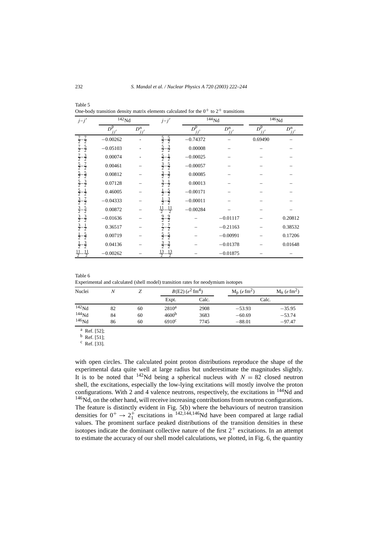| $j-j'$                           | $142$ Nd                     |             | $j-j'$                           |                      | $144$ Nd    |                          | $146$ Nd    |
|----------------------------------|------------------------------|-------------|----------------------------------|----------------------|-------------|--------------------------|-------------|
|                                  | $D^{\bar{\mathbf{p}}}_{jj'}$ | $D_{jj'}^n$ |                                  | $D^{\bar{p}}_{j j'}$ | $D^n_{jj'}$ | $D^{\overline{p}}_{jj'}$ | $D_{jj'}^n$ |
| $\frac{7}{2}$<br>$\overline{2}$  | $-0.00262$                   |             | $-\frac{5}{2}$<br>$\frac{5}{2}$  | $-0.74372$           |             | 0.69490                  |             |
| $\frac{5}{2}$<br>$\frac{1}{2}$   | $-0.05103$                   |             | $-\frac{3}{2}$<br>$\frac{5}{2}$  | 0.00008              |             |                          |             |
| $\frac{3}{2}$<br>2               | 0.00074                      |             | $\frac{5}{2}$<br>$-\frac{1}{2}$  | $-0.00025$           |             |                          |             |
| $\frac{7}{2}$<br>$\frac{5}{2}$   | 0.00461                      |             | $-\frac{5}{2}$<br>$\frac{3}{2}$  | $-0.00057$           |             |                          |             |
| $\frac{5}{2}$<br>$\frac{5}{2}$   | 0.00812                      |             | $-\frac{3}{2}$<br>$\frac{3}{2}$  | 0.00085              |             |                          |             |
| $\frac{3}{2}$<br>$\frac{5}{2}$   | 0.07128                      |             | $\frac{3}{2}$<br>$-\frac{1}{2}$  | 0.00013              |             |                          |             |
| $\frac{1}{2}$<br>$\frac{5}{2}$   | 0.46005                      |             | $-\frac{5}{2}$<br>$\frac{1}{2}$  | $-0.00171$           |             |                          |             |
| $\frac{7}{2}$<br>$\frac{3}{2}$   | $-0.04333$                   |             | $-\frac{3}{2}$<br>$rac{1}{2}$    | $-0.00011$           |             |                          |             |
| $rac{5}{2}$<br>$\frac{3}{2}$     | 0.00872                      |             | $\frac{11}{2}$<br>$\frac{11}{2}$ | $-0.00284$           |             |                          |             |
| $\frac{3}{2}$<br>$\frac{3}{2}$   | $-0.01636$                   |             | $-\frac{9}{2}$<br>$\frac{9}{2}$  |                      | $-0.01117$  |                          | 0.20812     |
| $\frac{1}{2}$<br>$\frac{3}{2}$   | 0.36517                      |             | $-\frac{7}{2}$<br>$\frac{7}{2}$  |                      | $-0.21163$  |                          | 0.38532     |
| $\frac{5}{2}$<br>$\frac{1}{2}$   | 0.00719                      |             | $-\frac{5}{2}$<br>$\frac{5}{2}$  |                      | $-0.00991$  |                          | 0.17206     |
| $\frac{3}{2}$<br>$\frac{1}{2}$   | 0.04136                      |             | $\frac{3}{2}$<br>$\frac{3}{2}$   |                      | $-0.01378$  |                          | 0.01648     |
| $\frac{11}{2}$<br>$\frac{11}{2}$ | $-0.00262$                   |             | $\frac{13}{2}$<br>$\frac{13}{2}$ |                      | $-0.01875$  |                          |             |

Table 5 One-body transition density matrix elements calculated for the  $0^+$  to  $2^+$  transitions

| Table 6 |                                                                                   |  |  |  |
|---------|-----------------------------------------------------------------------------------|--|--|--|
|         | Experimental and calculated (shell model) transition rates for neodymium isotopes |  |  |  |

| Nuclei              |    |    | $B(E2) (e^2 fm^4)$ |       | $M_p$ (e fm <sup>2</sup> ) | $M_n$ (e fm <sup>2</sup> ) |
|---------------------|----|----|--------------------|-------|----------------------------|----------------------------|
|                     |    |    | Expt.              | Calc. | Calc.                      |                            |
| 142 <sub>Nd</sub>   | 82 | 60 | 2810 <sup>a</sup>  | 2908  | $-53.93$                   | $-35.95$                   |
| $144$ <sub>Nd</sub> | 84 | 60 | 4600 <sup>b</sup>  | 3683  | $-60.69$                   | $-53.74$                   |
| $146$ Nd            | 86 | 60 | 6910 <sup>c</sup>  | 7745  | $-88.01$                   | $-97.47$                   |

<sup>a</sup> Ref. [52];

 $<sup>b</sup>$  Ref. [51];</sup>

<sup>c</sup> Ref. [33].

with open circles. The calculated point proton distributions reproduce the shape of the experimental data quite well at large radius but underestimate the magnitudes slightly. It is to be noted that <sup>142</sup>Nd being a spherical nucleus with  $N = 82$  closed neutron shell, the excitations, especially the low-lying excitations will mostly involve the proton configurations. With 2 and 4 valence neutrons, respectively, the excitations in  $\frac{144}{Nd}$  and <sup>146</sup>Nd, on the other hand, will receive increasing contributions from neutron configurations. The feature is distinctly evident in Fig. 5(b) where the behaviours of neutron transition densities for  $0^+ \rightarrow 2^+_1$  excitations in <sup>142,144,146</sup>Nd have been compared at large radial values. The prominent surface peaked distributions of the transition densities in these isotopes indicate the dominant collective nature of the first  $2^+$  excitations. In an attempt to estimate the accuracy of our shell model calculations, we plotted, in Fig. 6, the quantity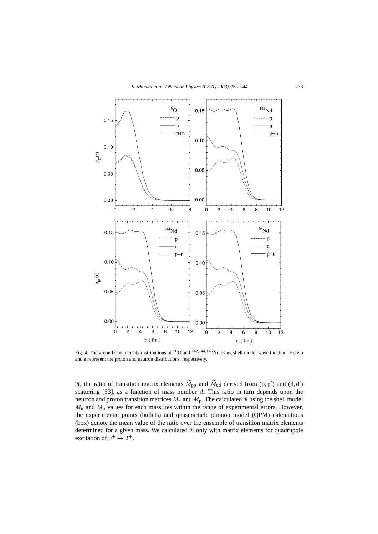

Fig. 4. The ground state density distributions of <sup>16</sup>O and <sup>142,144,146</sup>Nd using shell model wave function. Here p and n represent the proton and neutron distributions, respectively.

 $\mathfrak{R}$ , the ratio of transition matrix elements  $M_{\text{pp}}$  and  $M_{\text{dd}}$  derived from  $(\text{p}, \text{p}')$  and  $(\text{d}, \text{d}')$ scattering [53], as a function of mass number *A*. This ratio in turn depends upon the neutron and proton transition matrices  $M_n$  and  $M_p$ . The calculated  $\Re$  using the shell model  $M_n$  and  $M_p$  values for each mass lies within the range of experimental errors. However, the experimental points (bullets) and quasiparticle phonon model (QPM) calculations (box) denote the mean value of the ratio over the ensemble of transition matrix elements determined for a given mass. We calculated  $\Re$  only with matrix elements for quadrupole excitation of  $0^+ \rightarrow 2^+$ .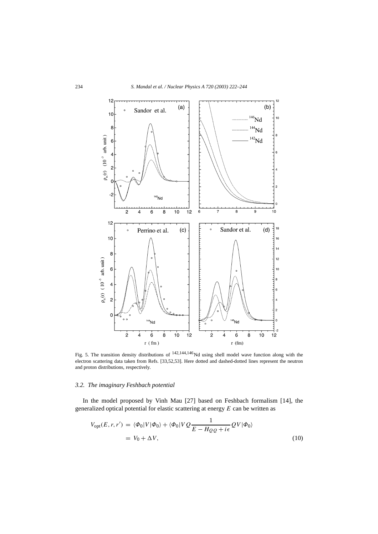

Fig. 5. The transition density distributions of <sup>142,144,146</sup>Nd using shell model wave function along with the electron scattering data taken from Refs. [33,52,53]. Here dotted and dashed-dotted lines represent the neutron and proton distributions, respectively.

## *3.2. The imaginary Feshbach potential*

In the model proposed by Vinh Mau [27] based on Feshbach formalism [14], the generalized optical potential for elastic scattering at energy *E* can be written as

$$
V_{\text{opt}}(E, r, r') = \langle \Phi_0 | V | \Phi_0 \rangle + \langle \Phi_0 | V Q \frac{1}{E - H_Q Q + i\epsilon} Q V | \Phi_0 \rangle
$$
  
=  $V_0 + \Delta V,$  (10)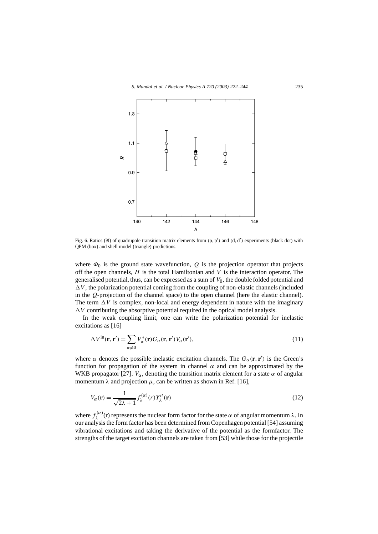

Fig. 6. Ratios ( $\Re$ ) of quadrupole transition matrix elements from  $(p, p')$  and  $(d, d')$  experiments (black dot) with QPM (box) and shell model (triangle) predictions.

where  $\Phi_0$  is the ground state wavefunction,  $Q$  is the projection operator that projects off the open channels, *H* is the total Hamiltonian and *V* is the interaction operator. The generalised potential, thus, can be expressed as a sum of *V*0, the double folded potential and  $\Delta V$ , the polarization potential coming from the coupling of non-elastic channels (included in the *Q*-projection of the channel space) to the open channel (here the elastic channel). The term  $\Delta V$  is complex, non-local and energy dependent in nature with the imaginary  $\Delta V$  contributing the absorptive potential required in the optical model analysis.

In the weak coupling limit, one can write the polarization potential for inelastic excitations as [16]

$$
\Delta V^{\text{in}}(\mathbf{r}, \mathbf{r}') = \sum_{\alpha \neq 0} V_{\alpha}^*(\mathbf{r}) G_{\alpha}(\mathbf{r}, \mathbf{r}') V_{\alpha}(\mathbf{r}'), \tag{11}
$$

where  $\alpha$  denotes the possible inelastic excitation channels. The  $G_{\alpha}(\mathbf{r}, \mathbf{r}')$  is the Green's function for propagation of the system in channel  $\alpha$  and can be approximated by the WKB propagator [27].  $V_\alpha$ , denoting the transition matrix element for a state  $\alpha$  of angular momentum  $\lambda$  and projection  $\mu$ , can be written as shown in Ref. [16],

$$
V_{\alpha}(\mathbf{r}) = \frac{1}{\sqrt{2\lambda + 1}} f_{\lambda}^{(\alpha)}(r) Y_{\lambda}^{\mu}(\mathbf{r})
$$
(12)

where  $f_{\lambda}^{(\alpha)}(r)$  represents the nuclear form factor for the state  $\alpha$  of angular momentum  $\lambda$ . In our analysis the form factor has been determined from Copenhagen potential [54] assuming vibrational excitations and taking the derivative of the potential as the formfactor. The strengths of the target excitation channels are taken from [53] while those for the projectile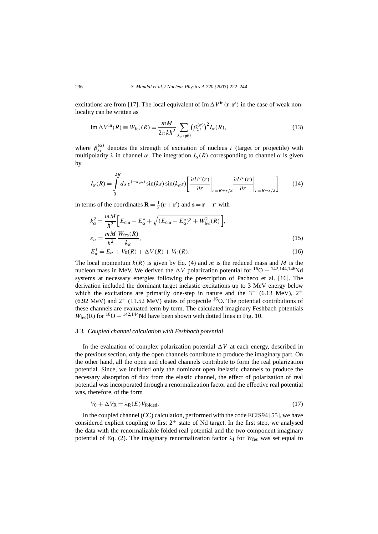excitations are from [17]. The local equivalent of Im  $\Delta V^{\text{in}}(\mathbf{r}, \mathbf{r}')$  in the case of weak nonlocality can be written as

Im 
$$
\Delta V^{\text{in}}(R) \equiv W_{\text{fes}}(R) = \frac{mM}{2\pi k\hbar^2} \sum_{\lambda,\alpha \neq 0} \left(\beta_{\lambda i}^{(\alpha)}\right)^2 I_{\alpha}(R),
$$
 (13)

where  $\beta_{\lambda i}^{(\alpha)}$  denotes the strength of excitation of nucleus *i* (target or projectile) with multipolarity  $\lambda$  in channel  $\alpha$ . The integration  $I_{\alpha}(R)$  corresponding to channel  $\alpha$  is given by

$$
I_{\alpha}(R) = \int_{0}^{2R} ds \, e^{(-\kappa_{\alpha}s)} \sin(ks) \sin(k_{\alpha}s) \left[ \frac{\partial U^{c}(r)}{\partial r} \Big|_{r=R+s/2} \frac{\partial U^{c}(r)}{\partial r} \Big|_{r=R-s/2} \right] \tag{14}
$$

in terms of the coordinates  $\mathbf{R} = \frac{1}{2}(\mathbf{r} + \mathbf{r}')$  and  $\mathbf{s} = \mathbf{r} - \mathbf{r}'$  with

2*R*

$$
k_{\alpha}^{2} = \frac{mM}{\hbar^{2}} \Big[ E_{\text{cm}} - E_{\alpha}^{*} + \sqrt{(E_{\text{cm}} - E_{\alpha}^{*})^{2} + W_{\text{fes}}^{2}(R)} \Big],
$$
  
\n
$$
\kappa_{\alpha} = \frac{mM}{\hbar^{2}} \frac{W_{\text{fes}}(R)}{k_{\alpha}},
$$
\n(15)

$$
E_{\alpha}^{*} = E_{\alpha} + V_0(R) + \Delta V(R) + V_{\rm C}(R). \tag{16}
$$

The local momentum  $k(R)$  is given by Eq. (4) and *m* is the reduced mass and *M* is the nucleon mass in MeV. We derived the  $\Delta V$  polarization potential for <sup>16</sup>O + <sup>142,144,146</sup>Nd systems at necessary energies following the prescription of Pacheco et al. [16]. The derivation included the dominant target inelastic excitations up to 3 MeV energy below which the excitations are primarily one-step in nature and the  $3^-$  (6.13 MeV),  $2^+$ (6.92 MeV) and  $2^+$  (11.52 MeV) states of projectile <sup>16</sup>O. The potential contributions of these channels are evaluated term by term. The calculated imaginary Feshbach potentials  $W_{\text{fes}}(R)$  for <sup>16</sup>O + <sup>142,144</sup>Nd have been shown with dotted lines in Fig. 10.

## *3.3. Coupled channel calculation with Feshbach potential*

In the evaluation of complex polarization potential  $\Delta V$  at each energy, described in the previous section, only the open channels contribute to produce the imaginary part. On the other hand, all the open and closed channels contribute to form the real polarization potential. Since, we included only the dominant open inelastic channels to produce the necessary absorption of flux from the elastic channel, the effect of polarization of real potential was incorporated through a renormalization factor and the effective real potential was, therefore, of the form

$$
V_0 + \Delta V_{\rm R} = \lambda_{\rm R}(E) V_{\rm folded}.
$$
\n(17)

In the coupled channel (CC) calculation, performed with the code ECIS94 [55], we have considered explicit coupling to first  $2^+$  state of Nd target. In the first step, we analysed the data with the renormalizable folded real potential and the two component imaginary potential of Eq. (2). The imaginary renormalization factor  $\lambda_I$  for  $W_{\text{fes}}$  was set equal to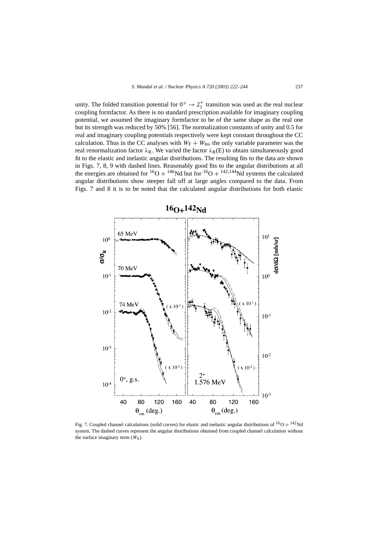unity. The folded transition potential for  $0^+ \rightarrow 2^+_1$  transition was used as the real nuclear coupling formfactor. As there is no standard prescription available for imaginary coupling potential, we assumed the imaginary formfactor to be of the same shape as the real one but its strength was reduced by 50% [56]. The normalization constants of unity and 0.5 for real and imaginary coupling potentials respectively were kept constant throughout the CC calculation. Thus in the CC analyses with  $W_F + W_{fes}$  the only variable parameter was the real renormalization factor  $λ_R$ . We varied the factor  $λ_R(E)$  to obtain simultaneously good fit to the elastic and inelastic angular distributions. The resulting fits to the data are shown in Figs. 7, 8, 9 with dashed lines. Reasonably good fits to the angular distributions at all the energies are obtained for <sup>16</sup>O + <sup>146</sup>Nd but for <sup>16</sup>O + <sup>142,144</sup>Nd systems the calculated angular distributions show steeper fall off at large angles compared to the data. From Figs. 7 and 8 it is to be noted that the calculated angular distributions for both elastic



Fig. 7. Coupled channel calculations (solid curves) for elastic and inelastic angular distributions of  ${}^{16}O + {}^{142}Nd$ system. The dashed curves represent the angular distributions obtained from coupled channel calculation without the surface imaginary term  $(W<sub>S</sub>)$ .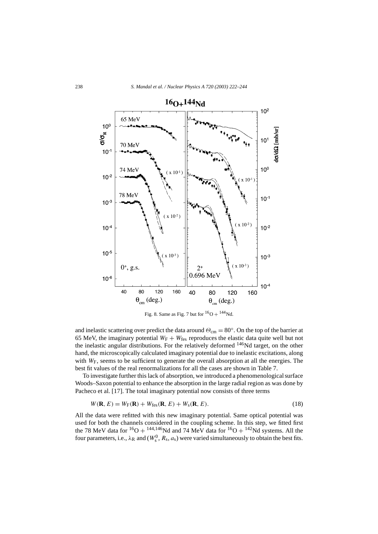

Fig. 8. Same as Fig. 7 but for  ${}^{16}O + {}^{144}Nd$ .

and inelastic scattering over predict the data around  $\Theta_{\rm cm} = 80^\circ$ . On the top of the barrier at 65 MeV, the imaginary potential  $W_F + W_{fes}$  reproduces the elastic data quite well but not the inelastic angular distributions. For the relatively deformed  $146$ Nd target, on the other hand, the microscopically calculated imaginary potential due to inelastic excitations, along with  $W_F$ , seems to be sufficient to generate the overall absorption at all the energies. The best fit values of the real renormalizations for all the cases are shown in Table 7.

To investigate further this lack of absorption, we introduced a phenomenological surface Woods–Saxon potential to enhance the absorption in the large radial region as was done by Pacheco et al. [17]. The total imaginary potential now consists of three terms

$$
W(\mathbf{R}, E) = W_{\mathrm{F}}(\mathbf{R}) + W_{\mathrm{fes}}(\mathbf{R}, E) + W_{\mathrm{s}}(\mathbf{R}, E). \tag{18}
$$

All the data were refitted with this new imaginary potential. Same optical potential was used for both the channels considered in the coupling scheme. In this step, we fitted first the 78 MeV data for  ${}^{16}O + {}^{144,146}Nd$  and 74 MeV data for  ${}^{16}O + {}^{142}Nd$  systems. All the four parameters, i.e.,  $\lambda_R$  and ( $W_s^0$ ,  $R_s$ ,  $a_s$ ) were varied simultaneously to obtain the best fits.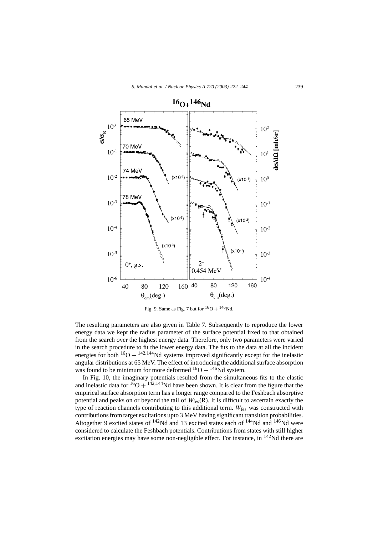

Fig. 9. Same as Fig. 7 but for  ${}^{16}O + {}^{146}Nd$ .

The resulting parameters are also given in Table 7. Subsequently to reproduce the lower energy data we kept the radius parameter of the surface potential fixed to that obtained from the search over the highest energy data. Therefore, only two parameters were varied in the search procedure to fit the lower energy data. The fits to the data at all the incident energies for both  ${}^{16}O + {}^{142,144}Nd$  systems improved significantly except for the inelastic angular distributions at 65 MeV. The effect of introducing the additional surface absorption was found to be minimum for more deformed  ${}^{16}O + {}^{146}Nd$  system.

In Fig. 10, the imaginary potentials resulted from the simultaneous fits to the elastic and inelastic data for  ${}^{16}O + {}^{142,144}Nd$  have been shown. It is clear from the figure that the empirical surface absorption term has a longer range compared to the Feshbach absorptive potential and peaks on or beyond the tail of  $W_{\text{fes}}(R)$ . It is difficult to ascertain exactly the type of reaction channels contributing to this additional term. W<sub>fes</sub> was constructed with contributions from target excitations upto 3 MeV having significant transition probabilities. Altogether 9 excited states of  $^{142}$ Nd and 13 excited states each of  $^{144}$ Nd and  $^{146}$ Nd were considered to calculate the Feshbach potentials. Contributions from states with still higher excitation energies may have some non-negligible effect. For instance, in 142Nd there are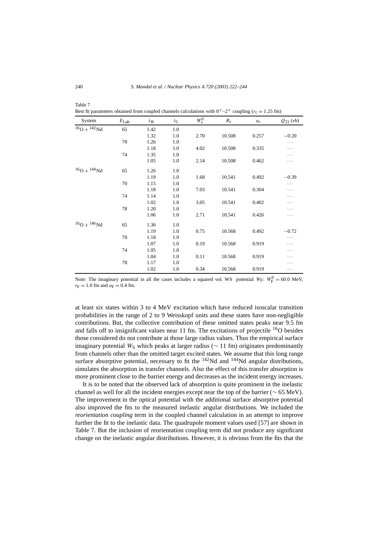|  | ۰, |
|--|----|

Table 7

| System                                  | $E_{\rm Lab}$ | $\lambda_{\rm R}$ | $\lambda_{\rm I}$ | $W_{\rm s}^0$ | $R_{\rm S}$ | $a_{s}$ | $Q_{22}$ (eb) |
|-----------------------------------------|---------------|-------------------|-------------------|---------------|-------------|---------|---------------|
| $16$ <sub>O</sub> + $142$ <sub>Nd</sub> | 65            | 1.42              | 1.0               |               |             |         |               |
|                                         |               | 1.32              | 1.0               | 2.70          | 10.508      | 0.257   | $-0.20$       |
|                                         | 70            | 1.26              | 1.0               |               |             |         | $\cdots$      |
|                                         |               | 1.18              | 1.0               | 4.02          | 10.508      | 0.335   | $\cdots$      |
|                                         | 74            | 1.35              | 1.0               |               |             |         | .             |
|                                         |               | 1.05              | 1.0               | 2.14          | 10.508      | 0.462   | .             |
| $^{16}O + ^{144}Nd$                     | 65            | 1.26              | 1.0               |               |             |         |               |
|                                         |               | 1.19              | 1.0               | 1.68          | 10.541      | 0.492   | $-0.39$       |
|                                         | 70            | 1.15              | 1.0               |               |             |         | $\ldots$      |
|                                         |               | 1.18              | 1.0               | 7.03          | 10.541      | 0.304   | .             |
|                                         | 74            | 1.14              | 1.0               |               |             |         | .             |
|                                         |               | 1.02              | 1.0               | 3.05          | 10.541      | 0.402   | .             |
|                                         | 78            | 1.20              | 1.0               |               |             |         | .             |
|                                         |               | 1.06              | 1.0               | 2.71          | 10.541      | 0.426   | .             |
| $16O + 146Nd$                           | 65            | 1.36              | 1.0               |               |             |         |               |
|                                         |               | 1.19              | 1.0               | 0.75          | 10.568      | 0.492   | $-0.72$       |
|                                         | 70            | 1.18              | 1.0               |               |             |         | .             |
|                                         |               | 1.07              | 1.0               | 0.19          | 10.568      | 0.919   | .             |
|                                         | 74            | 1.05              | 1.0               |               |             |         | .             |
|                                         |               | 1.04              | 1.0               | 0.11          | 10.568      | 0.919   | .             |
|                                         | 78            | 1.17              | 1.0               |               |             |         | .             |
|                                         |               | 1.02              | 1.0               | 0.34          | 10.568      | 0.919   | $\cdots$      |

Best fit parameters obtained from coupled channels calculations with  $0^+$ –2<sup>+</sup> coupling ( $r_c$  = 1.25 fm)

Note: The imaginary potential in all the cases includes a squared vol. WS potential  $W_F$ :  $W_F^0 = 60.0$  MeV,  $r_F = 1.0$  fm and  $a_F = 0.4$  fm.

at least six states within 3 to 4 MeV excitation which have reduced isoscalar transition probabilities in the range of 2 to 9 Weisskopf units and these states have non-negligible contributions. But, the collective contribution of these omitted states peaks near 9.5 fm and falls off to insignificant values near 11 fm. The excitations of projectile <sup>16</sup>O besides those considered do not contribute at those large radius values. Thus the empirical surface imaginary potential  $W_S$  which peaks at larger radius ( $\sim$  11 fm) originates predominantly from channels other than the omitted target excited states. We assume that this long range surface absorptive potential, necessary to fit the  $^{142}$ Nd and  $^{144}$ Nd angular distributions, simulates the absorption in transfer channels. Also the effect of this transfer absorption is more prominent close to the barrier energy and decreases as the incident energy increases.

It is to be noted that the observed lack of absorption is quite prominent in the inelastic channel as well for all the incident energies except near the top of the barrier ( $\sim$  65 MeV). The improvement in the optical potential with the additional surface absorptive potential also improved the fits to the measured inelastic angular distributions. We included the *reorientation coupling* term in the coupled channel calculation in an attempt to improve further the fit to the inelastic data. The quadrupole moment values used [57] are shown in Table 7. But the inclusion of reorientation coupling term did not produce any significant change on the inelastic angular distributions. However, it is obvious from the fits that the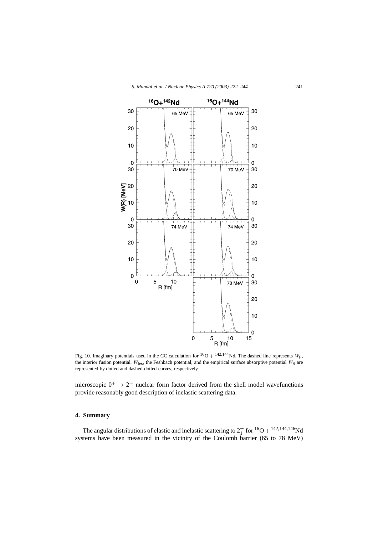

Fig. 10. Imaginary potentials used in the CC calculation for <sup>16</sup>O + <sup>142,144</sup>Nd. The dashed line represents  $W_F$ , the interior fusion potential. *W*<sub>fes</sub>, the Feshbach potential, and the empirical surface absorptive potential *W*<sub>S</sub> are represented by dotted and dashed-dotted curves, respectively.

microscopic  $0^+ \rightarrow 2^+$  nuclear form factor derived from the shell model wavefunctions provide reasonably good description of inelastic scattering data.

## **4. Summary**

The angular distributions of elastic and inelastic scattering to  $2^+_1$  for  $^{16}O + ^{142,144,146}Nd$ systems have been measured in the vicinity of the Coulomb barrier (65 to 78 MeV)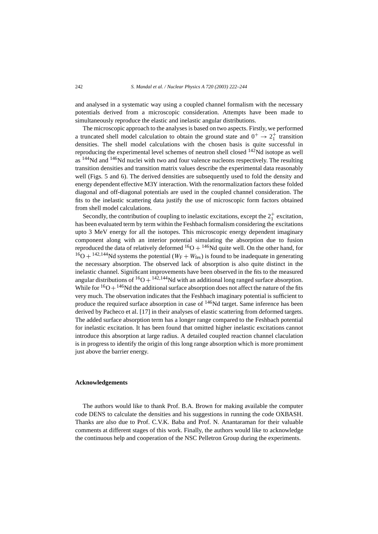and analysed in a systematic way using a coupled channel formalism with the necessary potentials derived from a microscopic consideration. Attempts have been made to simultaneously reproduce the elastic and inelastic angular distributions.

The microscopic approach to the analyses is based on two aspects. Firstly, we performed a truncated shell model calculation to obtain the ground state and  $0^+ \rightarrow 2^+_1$  transition densities. The shell model calculations with the chosen basis is quite successful in reproducing the experimental level schemes of neutron shell closed  $142$ Nd isotope as well as <sup>144</sup>Nd and <sup>146</sup>Nd nuclei with two and four valence nucleons respectively. The resulting transition densities and transition matrix values describe the experimental data reasonably well (Figs. 5 and 6). The derived densities are subsequently used to fold the density and energy dependent effective M3Y interaction. With the renormalization factors these folded diagonal and off-diagonal potentials are used in the coupled channel consideration. The fits to the inelastic scattering data justify the use of microscopic form factors obtained from shell model calculations.

Secondly, the contribution of coupling to inelastic excitations, except the  $2^+_1$  excitation, has been evaluated term by term within the Feshbach formalism considering the excitations upto 3 MeV energy for all the isotopes. This microscopic energy dependent imaginary component along with an interior potential simulating the absorption due to fusion reproduced the data of relatively deformed  ${}^{16}O + {}^{146}Nd$  quite well. On the other hand, for  $^{16}O + ^{142,144}Nd$  systems the potential ( $W_F + W_{fes}$ ) is found to be inadequate in generating the necessary absorption. The observed lack of absorption is also quite distinct in the inelastic channel. Significant improvements have been observed in the fits to the measured angular distributions of  ${}^{16}O + {}^{142,144}Nd$  with an additional long ranged surface absorption. While for  $16O+146$ Nd the additional surface absorption does not affect the nature of the fits very much. The observation indicates that the Feshbach imaginary potential is sufficient to produce the required surface absorption in case of <sup>146</sup>Nd target. Same inference has been derived by Pacheco et al. [17] in their analyses of elastic scattering from deformed targets. The added surface absorption term has a longer range compared to the Feshbach potential for inelastic excitation. It has been found that omitted higher inelastic excitations cannot introduce this absorption at large radius. A detailed coupled reaction channel claculation is in progress to identify the origin of this long range absorption which is more promiment just above the barrier energy.

## **Acknowledgements**

The authors would like to thank Prof. B.A. Brown for making available the computer code DENS to calculate the densities and his suggestions in running the code OXBASH. Thanks are also due to Prof. C.V.K. Baba and Prof. N. Anantaraman for their valuable comments at different stages of this work. Finally, the authors would like to acknowledge the continuous help and cooperation of the NSC Pelletron Group during the experiments.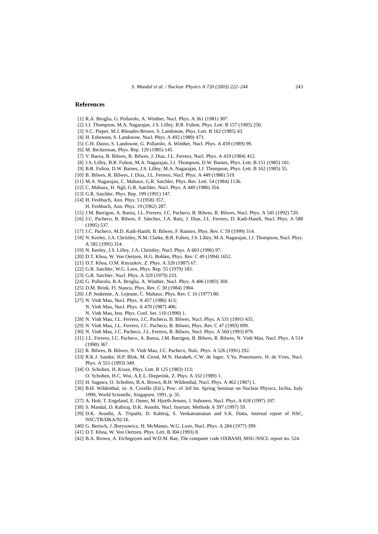### **References**

- [1] R.A. Broglia, G. Pollarolo, A. Winther, Nucl. Phys. A 361 (1981) 307.
- [2] I.J. Thompson, M.A. Nagarajan, J.S. Lilley, B.R. Fulton, Phys. Lett. B 157 (1985) 250.
- [3] S.C. Pieper, M.J. Rhoades-Brown, S. Landowne, Phys. Lett. B 162 (1985) 43.
- [4] H. Esbensen, S. Landowne, Nucl. Phys. A 492 (1989) 473.
- [5] C.H. Dasso, S. Landowne, G. Pollarolo, A. Winther, Nucl. Phys. A 459 (1989) 99.
- [6] M. Beckerman, Phys. Rep. 129 (1985) 145.
- [7] V. Baeza, B. Bilwes, R. Bilwes, J. Diaz, J.L. Ferrero, Nucl. Phys. A 419 (1984) 412.
- [8] J.S. Lilley, B.R. Fulton, M.A. Nagarajan, I.J. Thompson, D.W. Barnes, Phys. Lett. B 151 (1985) 181.
- [9] B.R. Fulton, D.W. Barnes, J.S. Lilley, M.A. Nagarajan, I.J. Thompson, Phys. Lett. B 162 (1985) 55.
- [10] B. Bilwes, R. Bilwes, J. Diaz, J.L. Ferrero, Nucl. Phys. A 449 (1986) 519.
- [11] M.A. Nagarajan, C. Mahaux, G.R. Satchler, Phys. Rev. Lett. 54 (1984) 1136.
- [12] C. Mahaux, H. Ngô, G.R. Satchler, Nucl. Phys. A 449 (1986) 354.
- [13] G.R. Satchler, Phys. Rep. 199 (1991) 147.
- [14] H. Feshbach, Ann. Phys. 5 (1958) 357;
	- H. Feshbach, Ann. Phys. 19 (1962) 287.
- [15] J.M. Barrigon, A. Baeza, J.L. Ferrero, J.C. Pacheco, B. Bilwes, R. Bilwes, Nucl. Phys. A 545 (1992) 720.
- [16] J.C. Pacheco, B. Bilwes, F. Sánchez, J.A. Ruiz, J. Diaz, J.L. Ferrero, D. Kadi-Hanifi, Nucl. Phys. A 588 (1995) 537.
- [17] J.C. Pacheco, M.D. Kadi-Hanifi, B. Bilwes, F. Ramiro, Phys. Rev. C 59 (1999) 314.
- [18] N. Keeley, J.A. Christley, N.M. Clarke, B.R. Fulton, J.S. Lilley, M.A. Nagarajan, I.J. Thompson, Nucl. Phys. A 582 (1995) 314.
- [19] N. Keeley, J.S. Lilley, J.A. Christley, Nucl. Phys. A 603 (1996) 97.
- [20] D.T. Khoa, W. Von Oertzen, H.G. Bohlen, Phys. Rev. C 49 (1994) 1652.
- [21] D.T. Khoa, O.M. Knyazkov, Z. Phys. A 328 (1987) 67.
- [22] G.R. Satchler, W.G. Love, Phys. Rep. 55 (1979) 183.
- [23] G.R. Satchler, Nucl. Phys. A 329 (1979) 233.
- [24] G. Pollarolo, R.A. Broglia, A. Winther, Nucl. Phys. A 406 (1983) 369.
- [25] D.M. Brink, Fl. Stancu, Phys. Rev. C 30 (1984) 1904.
- [26] J.P. Jeukenne, A. Lejeune, C. Mahaux, Phys. Rev. C 16 (1977) 80.
- [27] N. Vinh Mau, Nucl. Phys. A 457 (1986) 413; N. Vinh Mau, Nucl. Phys. A 470 (1987) 406; N. Vinh Mau, Inst. Phys. Conf. Ser. 110 (1990) 1.
- [28] N. Vinh Mau, J.L. Ferrero, J.C. Pacheco, B. Bilwes, Nucl. Phys. A 531 (1991) 435.
- [29] N. Vinh Mau, J.L. Ferrero, J.C. Pacheco, B. Bilwes, Phys. Rev. C 47 (1993) 899.
- [30] N. Vinh Mau, J.C. Pacheco, J.L. Ferrero, B. Bilwes, Nucl. Phys. A 560 (1993) 879.
- [31] J.L. Ferrero, J.C. Pacheco, A. Baeza, J.M. Barrigon, B. Bilwes, R. Bilwes, N. Vinh Mau, Nucl. Phys. A 514 (1990) 367.
- [32] R. Bilwes, B. Bilwes, N. Vinh Mau, J.C. Pacheco, Nulc. Phys. A 526 (1991) 292.
- [33] R.K.J. Sandor, H.P. Blok, M. Girod, M.N. Harakeh, C.W. de Jager, V.Yu. Ponomarev, H. de Vries, Nucl. Phys. A 551 (1993) 349.
- [34] O. Scholten, H. Kruse, Phys. Lett. B 125 (1983) 113; O. Scholten, H.C. Wui, A.E.L. Dieperink, Z. Phys. A 332 (1989) 1.
- [35] H. Sagawa, O. Scholten, B.A. Brown, B.H. Wildenthal, Nucl. Phys. A 462 (1987) 1.
- [36] B.H. Wildenthal, in: A. Covello (Ed.), Proc. of 3rd Int. Spring Seminar on Nuclear Physics, Ischia, Italy 1990, World Scientific, Singapore, 1991, p. 35.
- [37] A. Holt, T. Engeland, E. Osnes, M. Hjorth-Jensen, J. Suhonen, Nucl. Phys. A 618 (1997) 107.
- [38] S. Mandal, D. Kabiraj, D.K. Avasthi, Nucl. Instrum. Methods A 397 (1997) 59.
- [39] D.K. Avasthi, A. Tripathi, D. Kabiraj, S. Venkatramanan and S.K. Datta, Internal report of NSC, NSC/TR/DKA/92/16.
- [40] G. Bertsch, J. Borysowicz, H. McManus, W.G. Love, Nucl. Phys. A 284 (1977) 399.
- [41] D.T. Khoa, W. Von Oertzen, Phys. Lett. B 304 (1993) 8.
- [42] B.A. Brown, A. Etchegoyen and W.D.M. Rae, The computer code OXBASH, MSU-NSCL report no. 524.